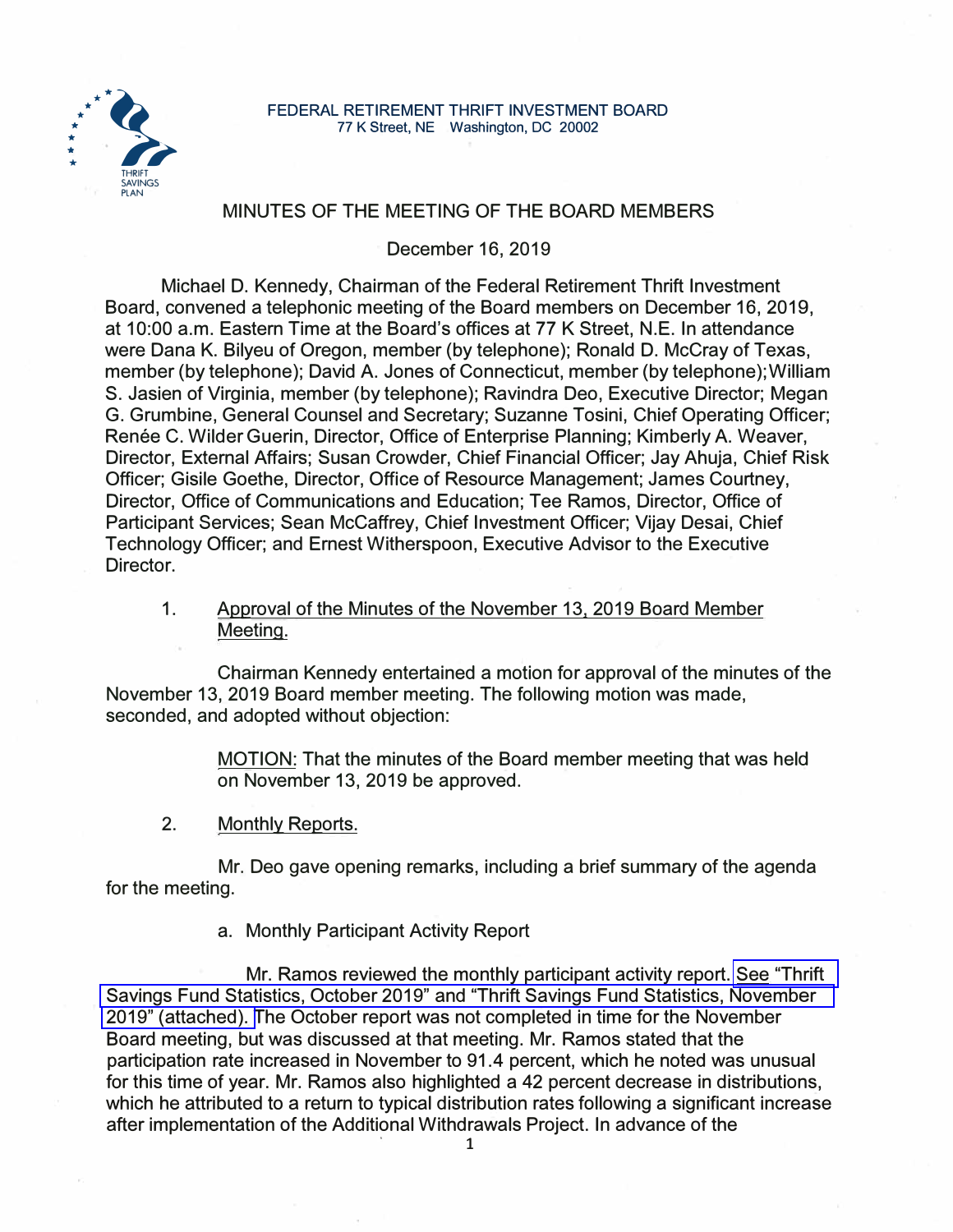

#### **FEDERAL RETIREMENT THRIFT INVESTMENT BOARD** 77 K Street, NE Washington, DC 20002

# MINUTES OF THE MEETING OF THE BOARD MEMBERS

December 16, 2019

Michael D. Kennedy, Chairman of the Federal Retirement Thrift Investment Board, convened a telephonic meeting of the Board members on December 16, 2019, at 10:00 a.m. Eastern Time at the Board's offices at 77 K Street, N.E. In attendance were Dana K. Bilyeu of Oregon, member (by telephone); Ronald D. McCray of Texas, member (by telephone); David A. Jones of Connecticut, member (by telephone); William S. Jasien of Virginia, member (by telephone); Ravindra Deo, Executive Director; Megan G. Grumbine, General Counsel and Secretary; Suzanne Tosini, Chief Operating Officer; Renée C. Wilder Guerin, Director, Office of Enterprise Planning; Kimberly A. Weaver, Director, External Affairs; Susan Crowder, Chief Financial Officer; Jay Ahuja, Chief Risk Officer; Gisile Goethe, Director, Office of Resource Management; James Courtney, Director, Office of Communications and Education; Tee Ramos, Director, Office of Participant Services; Sean Mccaffrey, Chief Investment Officer; Vijay Desai, Chief Technology Officer; and Ernest Witherspoon, Executive Advisor to the Executive Director.

1. Approval of the Minutes of the November 13, 2019 Board Member Meeting.

Chairman Kennedy entertained a motion for approval of the minutes of the November 13, 2019 Board member meeting. The following motion was made, seconded, and adopted without objection:

> MOTION: That the minutes of the Board member meeting that was held on November 13, 2019 be approved.

2. Monthly Reports.

Mr. Deo gave opening remarks, including a brief summary of the agenda for the meeting.

a. Monthly Participant Activity Report

Mr. Ramos reviewed the monthly participant activity report. See "Thrift" [Savings Fund Statistics, October 2019" and "Thrift Savings Fund Statistics, November](https://www.frtib.gov/pdf/minutes/2019/Dec/MM-2019Dec-Att1.pdf)  [2019" \(attached\). T](https://www.frtib.gov/pdf/minutes/2019/Dec/MM-2019Dec-Att1.pdf)he October report was not completed in time for the November Board meeting, but was discussed at that meeting. Mr. Ramos stated that the participation rate increased in November to 91.4 percent, which he noted was unusual for this time of year. Mr. Ramos also highlighted a 42 percent decrease in distributions, which he attributed to a return to typical distribution rates following a significant increase after implementation of the Additional Withdrawals Project. In advance of the . 1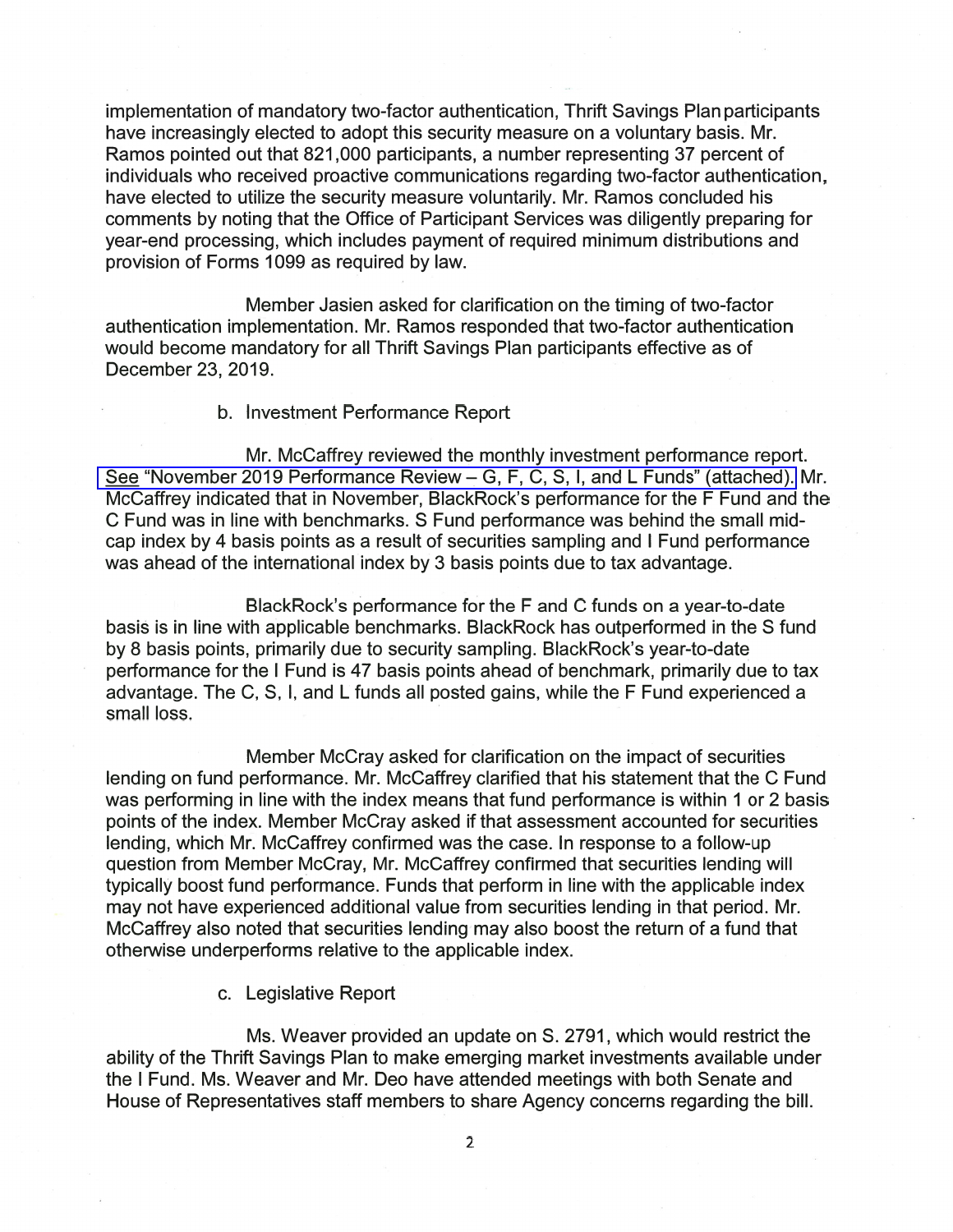implementation of mandatory two-factor authentication, Thrift Savings Plan participants have increasingly elected to adopt this security measure on a voluntary basis. Mr. Ramos pointed out that 821,000 participants, a number representing 37 percent of individuals who received proactive communications regarding two-factor authentication, have elected to utilize the security measure voluntarily. Mr. Ramos concluded his comments by noting that the Office of Participant Services was diligently preparing for year-end processing, which includes payment of required minimum distributions and provision of Forms 1099 as required by law.

Member Jasien asked for clarification on the timing of two-factor authentication implementation. Mr. Ramos responded that two-factor authentication would become mandatory for all Thrift Savings Plan participants effective as of December 23, 2019.

### b. Investment Performance Report

Mr. McCaffrey reviewed the monthly investment performance report. See "November 2019 Performance Review - G, F, C, S, I, and L Funds" (attached). Mr. McCaffrey indicated that in November, BlackRock's performance for the F Fund and the C Fund was in line with benchmarks. S Fund performance was behind the small midcap index by 4 basis points as a result of securities sampling and I Fund performance was ahead of the international index by 3 basis points due to tax advantage.

BlackRock's performance for the F and C funds on a year-to-date basis is in line with applicable benchmarks. BlackRock has outperformed in the S fund by 8 basis points, primarily due to security sampling. BlackRock's year-to-date performance for the I Fund is 47 basis points ahead of benchmark, primarily due to tax advantage. The C, S, I, and L funds all posted gains, while the F Fund experienced a small loss.

Member McCray asked for clarification on the impact of securities lending on fund performance. Mr. McCaffrey clarified that his statement that the C Fund was performing in line with the index means that fund performance is within 1 or 2 basis points of the index. Member McCray asked if that assessment accounted for securities lending, which Mr. McCaffrey confirmed was the case. In response to a follow-up question from Member McCray, Mr. McCaffrey confirmed that securities lending will typically boost fund performance. Funds that perform in line with the applicable index may not have experienced additional value from securities lending in that period. Mr. McCaffrey also noted that securities lending may also boost the return of a fund that otherwise underperforms relative to the applicable index.

## c. Legislative Report

Ms. Weaver provided an update on S. 2791, which would restrict the ability of the Thrift Savings Plan to make emerging market investments available under the I Fund. Ms. Weaver and Mr. Deo have attended meetings with both Senate and House of Representatives staff members to share Agency concerns regarding the bill.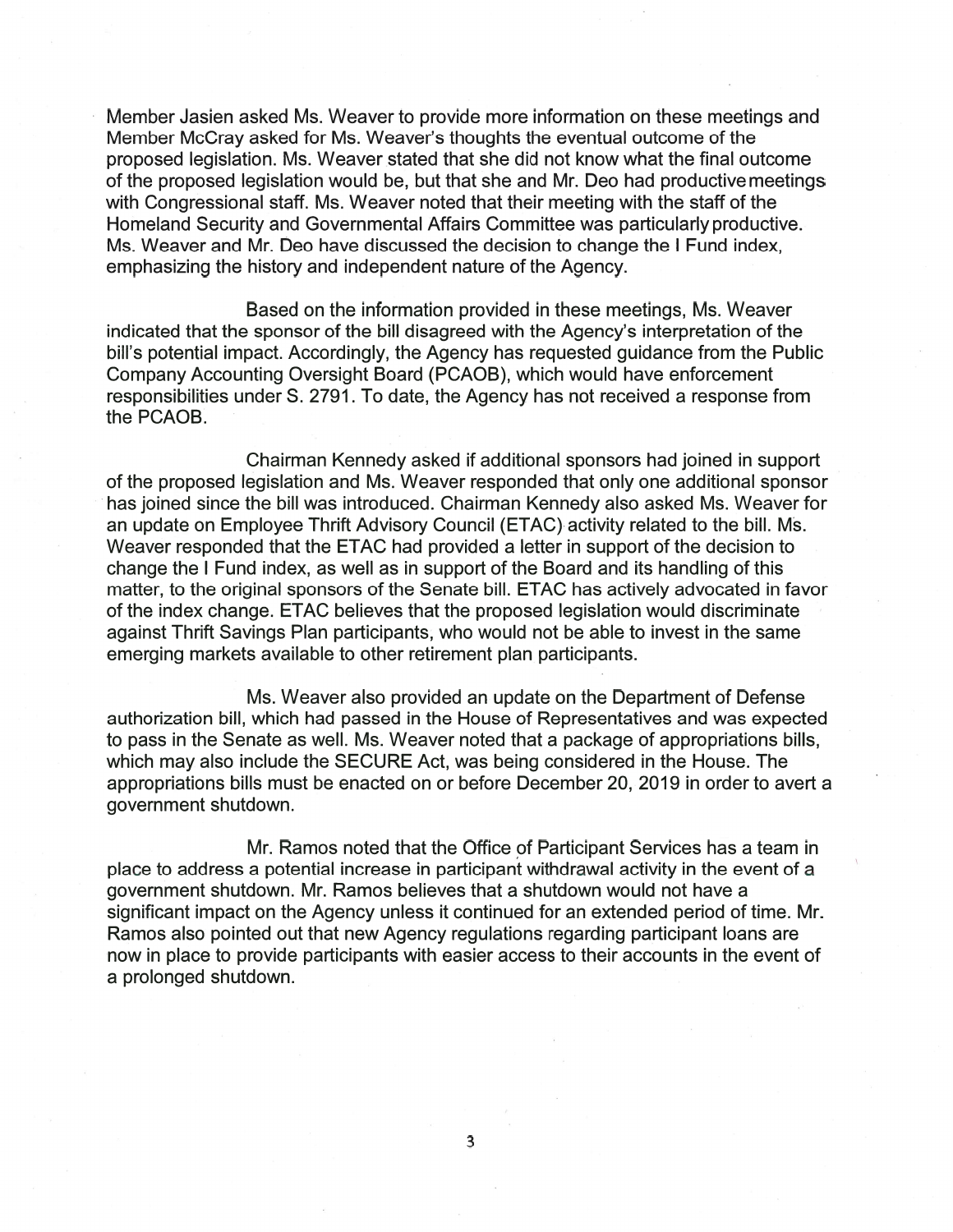Member Jasien asked Ms. Weaver to provide more information on these meetings and Member McCray asked for Ms. Weaver's thoughts the eventual outcome of the proposed legislation. Ms. Weaver stated that she did not know what the final outcome of the proposed legislation would be, but that she and Mr. Deo had productive meetings with Congressional staff. Ms. Weaver noted that their meeting with the staff of the Homeland Security and Governmental Affairs Committee was particularly productive. Ms. Weaver and Mr. Deo have discussed the decision to change the I Fund index, emphasizing the history and independent nature of the Agency.

Based on the information provided in these meetings, Ms. Weaver indicated that the sponsor of the bill disagreed with the Agency's interpretation of the bill's potential impact. Accordingly, the Agency has requested guidance from the Public Company Accounting Oversight Board (PCAOB), which would have enforcement responsibilities under S. 2791. To date, the Agency has not received a response from the PCAOB.

Chairman Kennedy asked if additional sponsors had joined in support of the proposed legislation and Ms. Weaver responded that only one additional sponsor has joined since the bill was introduced. Chairman Kennedy also asked Ms. Weaver for an update on Employee Thrift Advisory Council (ETAC) activity related to the bill. Ms. Weaver responded that the ETAC had provided a letter in support of the decision to change the I Fund index, as well as in support of the Board and its handling of this matter, to the original sponsors of the Senate bill. ETAC has actively advocated in favor of the index change. ETAC believes that the proposed legislation would discriminate against Thrift Savings Plan participants, who would not be able to invest in the same emerging markets available to other retirement plan participants.

Ms. Weaver also provided an update on the Department of Defense authorization bill, which had passed in the House of Representatives and was expected to pass in the Senate as well. Ms. Weaver noted that a package of appropriations bills, which may also include the SECURE Act, was being considered in the House. The appropriations bills must be enacted on or before December 20, 2019 in order to avert a government shutdown.

Mr. Ramos noted that the Office of Participant Services has a team in place to address a potential increase in participant withdrawal activity in the event of a aovernment shutdown. Mr. Ramos believes that a shutdown would not have a significant impact on the Agency unless it continued for an extended period of time. Mr. Ramos also pointed out that new Agency regulations regarding participant loans are now in place to provide participants with easier access to their accounts in the event of a prolonged shutdown.